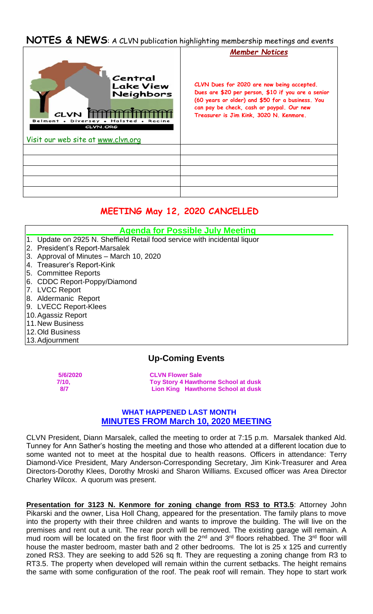# **NOTES & NEWS**: A CLVN publication highlighting membership meetings and events



# **MEETING May 12, 2020 CANCELLED**

- **Agenda for Possible July Meeting**
- 1. Update on 2925 N. Sheffield Retail food service with incidental liquor
- 2. President's Report-Marsalek
- 3. Approval of Minutes March 10, 2020
- 4. Treasurer's Report-Kink
- 5. Committee Reports
- 6. CDDC Report-Poppy/Diamond
- 7. LVCC Report
- 8. Aldermanic Report
- 9. LVECC Report-Klees
- 10.Agassiz Report
- 11.New Business
- 12.Old Business
- 13.Adjournment

## **Up-Coming Events**

 **5/6/2020 CLVN Flower Sale 7/10, Toy Story 4 Hawthorne School at dusk 8/7 Lion King Hawthorne School at dusk** 

## **WHAT HAPPENED LAST MONTH MINUTES FROM March 10, 2020 MEETING**

CLVN President, Diann Marsalek, called the meeting to order at 7:15 p.m. Marsalek thanked Ald. Tunney for Ann Sather's hosting the meeting and those who attended at a different location due to some wanted not to meet at the hospital due to health reasons. Officers in attendance: Terry Diamond-Vice President, Mary Anderson-Corresponding Secretary, Jim Kink-Treasurer and Area Directors-Dorothy Klees, Dorothy Mroski and Sharon Williams. Excused officer was Area Director Charley Wilcox. A quorum was present.

**Presentation for 3123 N. Kenmore for zoning change from RS3 to RT3.5: Attorney John** Pikarski and the owner, Lisa Holl Chang, appeared for the presentation. The family plans to move into the property with their three children and wants to improve the building. The will live on the premises and rent out a unit. The rear porch will be removed. The existing garage will remain. A mud room will be located on the first floor with the  $2<sup>nd</sup>$  and  $3<sup>rd</sup>$  floors rehabbed. The  $3<sup>rd</sup>$  floor will house the master bedroom, master bath and 2 other bedrooms. The lot is 25 x 125 and currently zoned RS3. They are seeking to add 526 sq ft. They are requesting a zoning change from R3 to RT3.5. The property when developed will remain within the current setbacks. The height remains the same with some configuration of the roof. The peak roof will remain. They hope to start work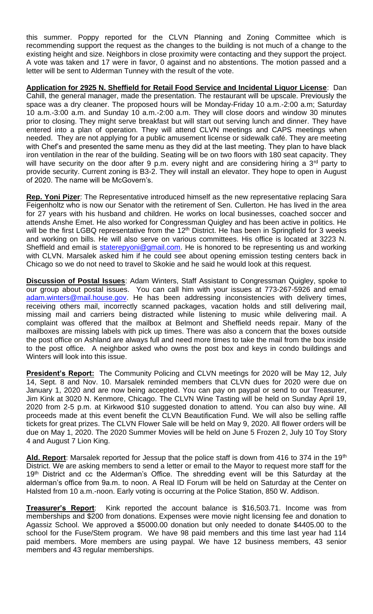this summer. Poppy reported for the CLVN Planning and Zoning Committee which is recommending support the request as the changes to the building is not much of a change to the existing height and size. Neighbors in close proximity were contacting and they support the project. A vote was taken and 17 were in favor, 0 against and no abstentions. The motion passed and a letter will be sent to Alderman Tunney with the result of the vote.

**Application for 2925 N. Sheffield for Retail Food Service and Incidental Liquor License**: Dan Cahill, the general manager, made the presentation. The restaurant will be upscale. Previously the space was a dry cleaner. The proposed hours will be Monday-Friday 10 a.m.-2:00 a.m; Saturday 10 a.m.-3:00 a.m. and Sunday 10 a.m.-2:00 a.m. They will close doors and window 30 minutes prior to closing. They might serve breakfast but will start out serving lunch and dinner. They have entered into a plan of operation. They will attend CLVN meetings and CAPS meetings when needed. They are not applying for a public amusement license or sidewalk café. They are meeting with Chef's and presented the same menu as they did at the last meeting. They plan to have black iron ventilation in the rear of the building. Seating will be on two floors with 180 seat capacity. They will have security on the door after 9 p.m. every night and are considering hiring a 3<sup>rd</sup> party to provide security. Current zoning is B3-2. They will install an elevator. They hope to open in August of 2020. The name will be McGovern's.

**Rep. Yoni Pizer**: The Representative introduced himself as the new representative replacing Sara Feigenholtz who is now our Senator with the retirement of Sen. Cullerton. He has lived in the area for 27 years with his husband and children. He works on local businesses, coached soccer and attends Anshe Emet. He also worked for Congressman Quigley and has been active in politics. He will be the first LGBQ representative from the 12<sup>th</sup> District. He has been in Springfield for 3 weeks and working on bills. He will also serve on various committees. His office is located at 3223 N. Sheffield and email is staterepyoni@gmail.com. He is honored to be representing us and working with CLVN. Marsalek asked him if he could see about opening emission testing centers back in Chicago so we do not need to travel to Skokie and he said he would look at this request.

**Discussion of Postal Issues**: Adam Winters, Staff Assistant to Congressman Quigley, spoke to our group about postal issues. You can call him with your issues at 773-267-5926 and email adam.winters@mail.house.gov. He has been addressing inconsistencies with delivery times, receiving others mail, incorrectly scanned packages, vacation holds and still delivering mail, missing mail and carriers being distracted while listening to music while delivering mail. A complaint was offered that the mailbox at Belmont and Sheffield needs repair. Many of the mailboxes are missing labels with pick up times. There was also a concern that the boxes outside the post office on Ashland are always full and need more times to take the mail from the box inside to the post office. A neighbor asked who owns the post box and keys in condo buildings and Winters will look into this issue.

**President's Report:** The Community Policing and CLVN meetings for 2020 will be May 12, July 14, Sept. 8 and Nov. 10. Marsalek reminded members that CLVN dues for 2020 were due on January 1, 2020 and are now being accepted. You can pay on paypal or send to our Treasurer, Jim Kink at 3020 N. Kenmore, Chicago. The CLVN Wine Tasting will be held on Sunday April 19, 2020 from 2-5 p.m. at Kirkwood \$10 suggested donation to attend. You can also buy wine. All proceeds made at this event benefit the CLVN Beautification Fund. We will also be selling raffle tickets for great prizes. The CLVN Flower Sale will be held on May 9, 2020. All flower orders will be due on May 1, 2020. The 2020 Summer Movies will be held on June 5 Frozen 2, July 10 Toy Story 4 and August 7 Lion King.

Ald. Report: Marsalek reported for Jessup that the police staff is down from 416 to 374 in the 19<sup>th</sup> District. We are asking members to send a letter or email to the Mayor to request more staff for the 19<sup>th</sup> District and cc the Alderman's Office. The shredding event will be this Saturday at the alderman's office from 9a.m. to noon. A Real ID Forum will be held on Saturday at the Center on Halsted from 10 a.m.-noon. Early voting is occurring at the Police Station, 850 W. Addison.

**Treasurer's Report**: Kink reported the account balance is \$16,503.71. Income was from memberships and \$200 from donations. Expenses were movie night licensing fee and donation to Agassiz School. We approved a \$5000.00 donation but only needed to donate \$4405.00 to the school for the Fuse/Stem program. We have 98 paid members and this time last year had 114 paid members. More members are using paypal. We have 12 business members, 43 senior members and 43 regular memberships.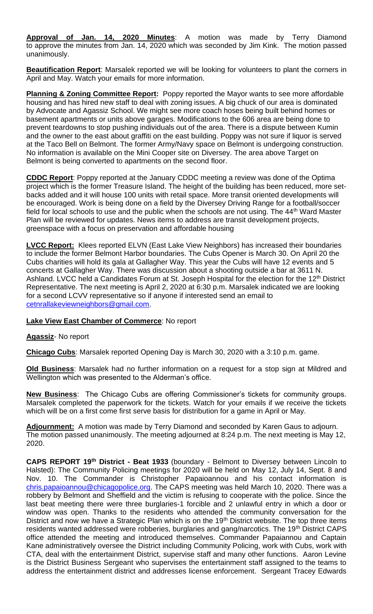**Approval of Jan. 14, 2020 Minutes**: A motion was made by Terry Diamond to approve the minutes from Jan. 14, 2020 which was seconded by Jim Kink. The motion passed unanimously.

**Beautification Report**: Marsalek reported we will be looking for volunteers to plant the corners in April and May. Watch your emails for more information.

**Planning & Zoning Committee Report:** Poppy reported the Mayor wants to see more affordable housing and has hired new staff to deal with zoning issues. A big chuck of our area is dominated by Advocate and Agassiz School. We might see more coach hoses being built behind homes or basement apartments or units above garages. Modifications to the 606 area are being done to prevent teardowns to stop pushing individuals out of the area. There is a dispute between Kumin and the owner to the east about graffiti on the east building. Poppy was not sure if liquor is served at the Taco Bell on Belmont. The former Army/Navy space on Belmont is undergoing construction. No information is available on the Mini Cooper site on Diversey. The area above Target on Belmont is being converted to apartments on the second floor.

**CDDC Report**: Poppy reported at the January CDDC meeting a review was done of the Optima project which is the former Treasure Island. The height of the building has been reduced, more setbacks added and it will house 100 units with retail space. More transit oriented developments will be encouraged. Work is being done on a field by the Diversey Driving Range for a football/soccer field for local schools to use and the public when the schools are not using. The 44<sup>th</sup> Ward Master Plan will be reviewed for updates. News items to address are transit development projects, greenspace with a focus on preservation and affordable housing

**LVCC Report:** Klees reported ELVN (East Lake View Neighbors) has increased their boundaries to include the former Belmont Harbor boundaries. The Cubs Opener is March 30. On April 20 the Cubs charities will hold its gala at Gallagher Way. This year the Cubs will have 12 events and 5 concerts at Gallagher Way. There was discussion about a shooting outside a bar at 3611 N. Ashland. LVCC held a Candidates Forum at St. Joseph Hospital for the election for the 12<sup>th</sup> District Representative. The next meeting is April 2, 2020 at 6:30 p.m. Marsalek indicated we are looking for a second LCVV representative so if anyone if interested send an email to cetnrallakeviewneighbors@gmail.com.

#### **Lake View East Chamber of Commerce**: No report

#### **Agassiz**- No report

**Chicago Cubs**: Marsalek reported Opening Day is March 30, 2020 with a 3:10 p.m. game.

**Old Business**: Marsalek had no further information on a request for a stop sign at Mildred and Wellington which was presented to the Alderman's office.

**New Business**: The Chicago Cubs are offering Commissioner's tickets for community groups. Marsalek completed the paperwork for the tickets. Watch for your emails if we receive the tickets which will be on a first come first serve basis for distribution for a game in April or May.

**Adjournment:** A motion was made by Terry Diamond and seconded by Karen Gaus to adjourn. The motion passed unanimously. The meeting adjourned at 8:24 p.m. The next meeting is May 12, 2020.

**CAPS REPORT 19th District - Beat 1933** (boundary - Belmont to Diversey between Lincoln to Halsted): The Community Policing meetings for 2020 will be held on May 12, July 14, Sept. 8 and Nov. 10. The Commander is Christopher Papaioannou and his contact information is chris.papaioannou@chicagopolice.org. The CAPS meeting was held March 10, 2020. There was a robbery by Belmont and Sheffield and the victim is refusing to cooperate with the police. Since the last beat meeting there were three burglaries-1 forcible and 2 unlawful entry in which a door or window was open. Thanks to the residents who attended the community conversation for the District and now we have a Strategic Plan which is on the 19<sup>th</sup> District website. The top three items residents wanted addressed were robberies, burglaries and gang/narcotics. The 19<sup>th</sup> District CAPS office attended the meeting and introduced themselves. Commander Papaiannou and Captain Kane administratively oversee the District including Community Policing, work with Cubs, work with CTA, deal with the entertainment District, supervise staff and many other functions. Aaron Levine is the District Business Sergeant who supervises the entertainment staff assigned to the teams to address the entertainment district and addresses license enforcement. Sergeant Tracey Edwards